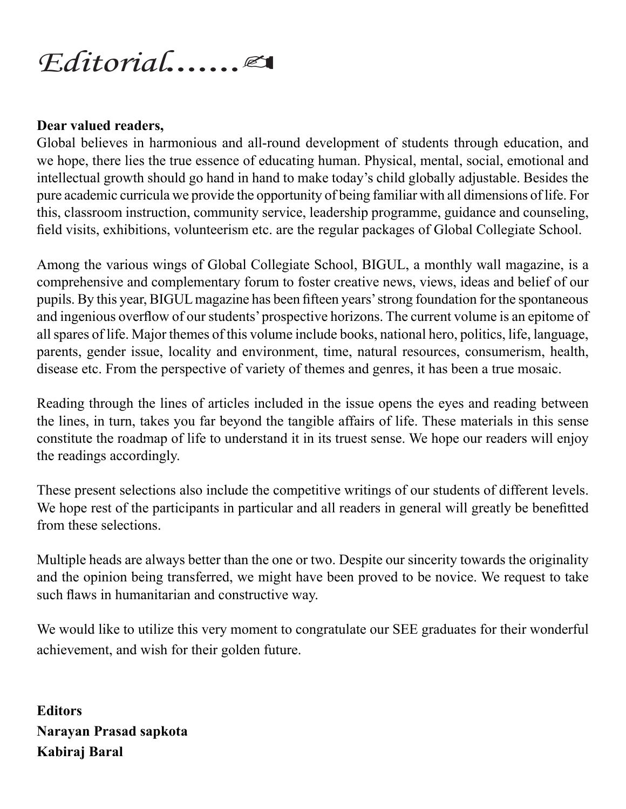## *Editorial*.......

## **Dear valued readers,**

Global believes in harmonious and all-round development of students through education, and we hope, there lies the true essence of educating human. Physical, mental, social, emotional and intellectual growth should go hand in hand to make today's child globally adjustable. Besides the pure academic curricula we provide the opportunity of being familiar with all dimensions of life. For this, classroom instruction, community service, leadership programme, guidance and counseling, field visits, exhibitions, volunteerism etc. are the regular packages of Global Collegiate School.

Among the various wings of Global Collegiate School, BIGUL, a monthly wall magazine, is a comprehensive and complementary forum to foster creative news, views, ideas and belief of our pupils. By this year, BIGUL magazine has been fifteen years' strong foundation for the spontaneous and ingenious overflow of our students' prospective horizons. The current volume is an epitome of all spares of life. Major themes of this volume include books, national hero, politics, life, language, parents, gender issue, locality and environment, time, natural resources, consumerism, health, disease etc. From the perspective of variety of themes and genres, it has been a true mosaic.

Reading through the lines of articles included in the issue opens the eyes and reading between the lines, in turn, takes you far beyond the tangible affairs of life. These materials in this sense constitute the roadmap of life to understand it in its truest sense. We hope our readers will enjoy the readings accordingly.

These present selections also include the competitive writings of our students of different levels. We hope rest of the participants in particular and all readers in general will greatly be benefitted from these selections.

Multiple heads are always better than the one or two. Despite our sincerity towards the originality and the opinion being transferred, we might have been proved to be novice. We request to take such flaws in humanitarian and constructive way.

We would like to utilize this very moment to congratulate our SEE graduates for their wonderful achievement, and wish for their golden future.

**Editors Narayan Prasad sapkota Kabiraj Baral**